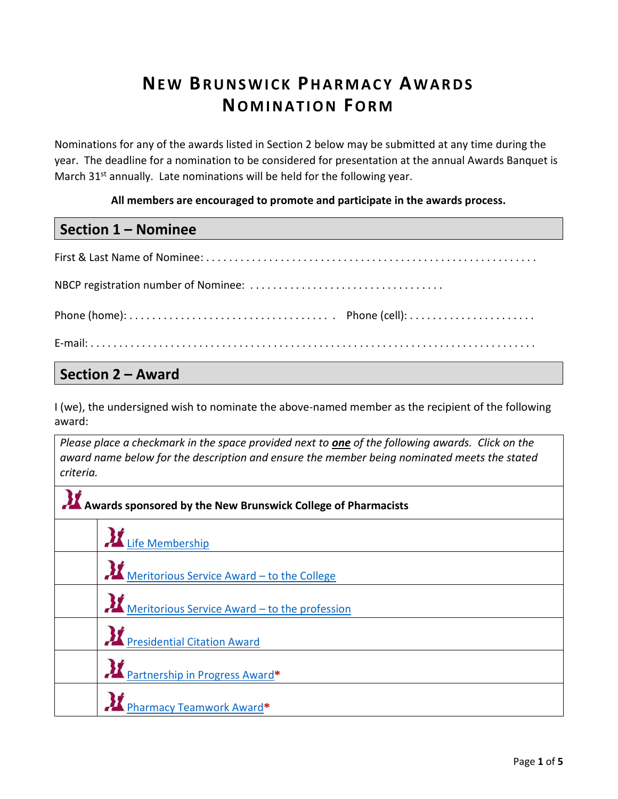### **NE W BR U N S W I C K PH A R M A C Y AW A RD S NOMINATION FORM**

Nominations for any of the awards listed in Section 2 below may be submitted at any time during the year. The deadline for a nomination to be considered for presentation at the annual Awards Banquet is March  $31<sup>st</sup>$  annually. Late nominations will be held for the following year.

**All members are encouraged to promote and participate in the awards process.**

#### **Section 1 – Nominee**

First & Last Name of Nominee: . . . . . . . . . . . . . . . . . . . . . . . . . . . . . . . . . . . . . . . . . . . . . . . . . . . . . . . . . . NBCP registration number of Nominee: . . . . . . . . . . . . . . . . . . . . . . . . . . . . . . . . . . Phone (home): . . . . . . . . . . . . . . . . . . . . . . . . . . . . . . . . . . . . Phone (cell): . . . . . . . . . . . . . . . . . . . . . . E-mail: . . . . . . . . . . . . . . . . . . . . . . . . . . . . . . . . . . . . . . . . . . . . . . . . . . . . . . . . . . . . . . . . . . . . . . . . . . . . . .

#### **Section 2 – Award**

I (we), the undersigned wish to nominate the above-named member as the recipient of the following award:

*Please place a checkmark in the space provided next to one of the following awards. Click on the award name below for the description and ensure the member being nominated meets the stated criteria.*

| Awards sponsored by the New Brunswick College of Pharmacists |                                               |
|--------------------------------------------------------------|-----------------------------------------------|
|                                                              | Life Membership                               |
|                                                              | Meritorious Service Award - to the College    |
|                                                              | Meritorious Service Award – to the profession |
|                                                              | <b>AZ</b> Presidential Citation Award         |
|                                                              | Partnership in Progress Award*                |
|                                                              | .<br>Dharmacy Teamwork Award*                 |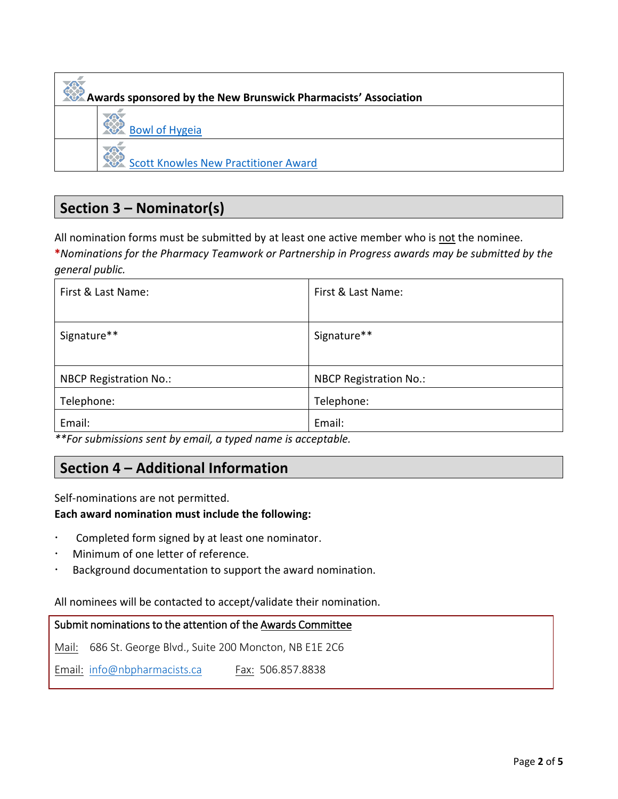# **Awards sponsored by the New Brunswick Pharmacists' Association** [Bowl of Hygeia](#page-4-0) [Scott Knowles New Practitioner Award](#page-4-1)

### **Section 3 – Nominator(s)**

All nomination forms must be submitted by at least one active member who is not the nominee.

**\****Nominations for the Pharmacy Teamwork or Partnership in Progress awards may be submitted by the general public.*

| First & Last Name:            | First & Last Name:            |
|-------------------------------|-------------------------------|
| Signature**                   | Signature**                   |
| <b>NBCP Registration No.:</b> | <b>NBCP Registration No.:</b> |
| Telephone:                    | Telephone:                    |
| Email:                        | Email:                        |

*\*\*For submissions sent by email, a typed name is acceptable.* 

#### **Section 4 – Additional Information**

Self-nominations are not permitted.

#### **Each award nomination must include the following:**

- Completed form signed by at least one nominator.
- Minimum of one letter of reference.
- Background documentation to support the award nomination.

#### All nominees will be contacted to accept/validate their nomination.

#### Submit nominations to the attention of the Awards Committee

Mail: 686 St. George Blvd., Suite 200 Moncton, NB E1E 2C6

Email: [info@nbpharmacists.ca](mailto:info@nbpharmacists.ca) Fax: 506.857.8838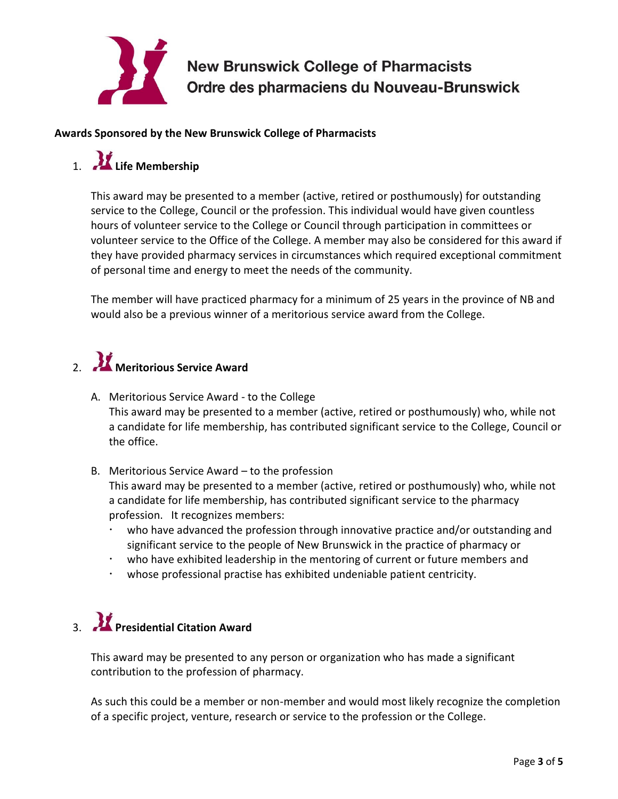

#### **Awards Sponsored by the New Brunswick College of Pharmacists**

### <span id="page-2-0"></span>1. **Life Membership**

This award may be presented to a member (active, retired or posthumously) for outstanding service to the College, Council or the profession. This individual would have given countless hours of volunteer service to the College or Council through participation in committees or volunteer service to the Office of the College. A member may also be considered for this award if they have provided pharmacy services in circumstances which required exceptional commitment of personal time and energy to meet the needs of the community.

The member will have practiced pharmacy for a minimum of 25 years in the province of NB and would also be a previous winner of a meritorious service award from the College.

### <span id="page-2-1"></span>2. **Meritorious Service Award**

- A. Meritorious Service Award to the College This award may be presented to a member (active, retired or posthumously) who, while not a candidate for life membership, has contributed significant service to the College, Council or the office.
- B. Meritorious Service Award to the profession This award may be presented to a member (active, retired or posthumously) who, while not a candidate for life membership, has contributed significant service to the pharmacy profession. It recognizes members:
	- who have advanced the profession through innovative practice and/or outstanding and significant service to the people of New Brunswick in the practice of pharmacy or
	- who have exhibited leadership in the mentoring of current or future members and
	- whose professional practise has exhibited undeniable patient centricity.

### <span id="page-2-2"></span>3. **Presidential Citation Award**

This award may be presented to any person or organization who has made a significant contribution to the profession of pharmacy.

As such this could be a member or non-member and would most likely recognize the completion of a specific project, venture, research or service to the profession or the College.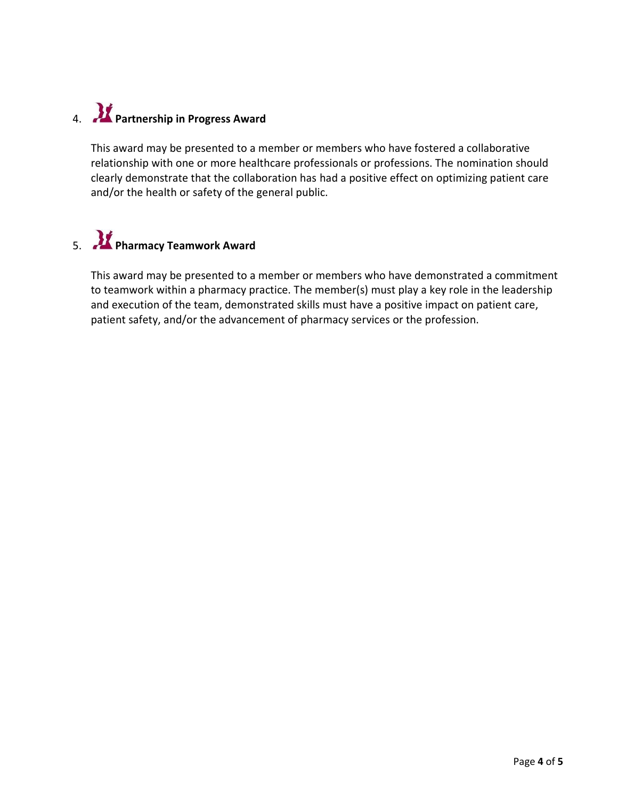### <span id="page-3-0"></span>4. **Partnership in Progress Award**

This award may be presented to a member or members who have fostered a collaborative relationship with one or more healthcare professionals or professions. The nomination should clearly demonstrate that the collaboration has had a positive effect on optimizing patient care and/or the health or safety of the general public.

## <span id="page-3-1"></span>5. **Pharmacy Teamwork Award**

This award may be presented to a member or members who have demonstrated a commitment to teamwork within a pharmacy practice. The member(s) must play a key role in the leadership and execution of the team, demonstrated skills must have a positive impact on patient care, patient safety, and/or the advancement of pharmacy services or the profession.